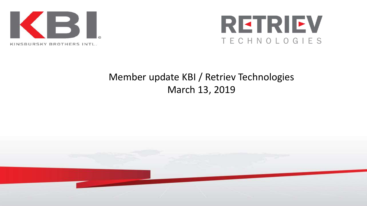



### Member update KBI / Retriev Technologies March 13, 2019

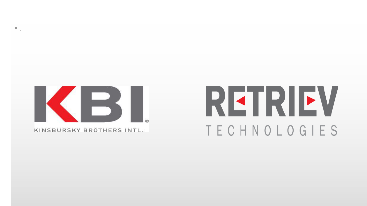

 $\Box$ 

KINSBURSKY BROTHERS INTL.

# REIRIEV TECHNOLOGIES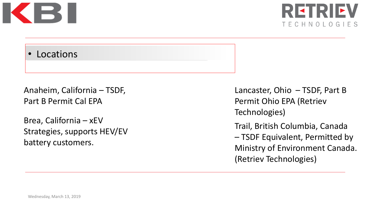



#### • Locations

Anaheim, California – TSDF, Part B Permit Cal EPA

Brea, California – xEV Strategies, supports HEV/EV battery customers.

Lancaster, Ohio – TSDF, Part B Permit Ohio EPA (Retriev Technologies)

Trail, British Columbia, Canada – TSDF Equivalent, Permitted by Ministry of Environment Canada. (Retriev Technologies)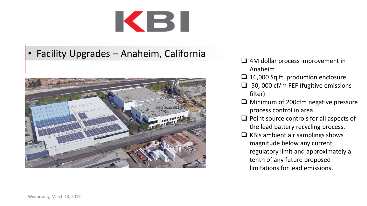# KBI

• Facility Upgrades – Anaheim, California



- $\Box$  4M dollar process improvement in Anaheim
- □ 16,000 Sq.ft. production enclosure.
- $\Box$  50, 000 cf/m FEF (fugitive emissions filter)
- $\Box$  Minimum of 200cfm negative pressure process control in area.
- $\Box$  Point source controls for all aspects of the lead battery recycling process.
- $\Box$  KBIs ambient air samplings shows magnitude below any current regulatory limit and approximately a tenth of any future proposed limitations for lead emissions.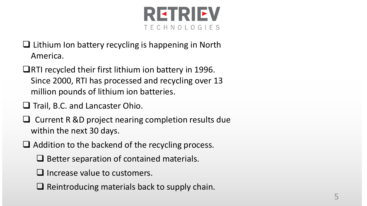

- $\Box$  Lithium Ion battery recycling is happening in North America.
- $\Box$ RTI recycled their first lithium ion battery in 1996. Since 2000, RTI has processed and recycling over 13 million pounds of lithium ion batteries.
- $\Box$  Trail, B.C. and Lancaster Ohio.
- $\Box$  Current R &D project nearing completion results due within the next 30 days.
- $\Box$  Addition to the backend of the recycling process.
	- $\Box$  Better separation of contained materials.
	- $\Box$  Increase value to customers.
	- $\Box$  Reintroducing materials back to supply chain.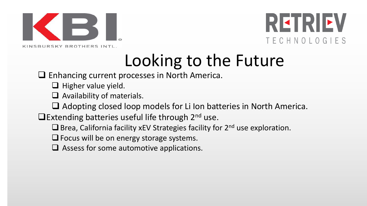



### Looking to the Future

□ Enhancing current processes in North America.

- $\Box$  Higher value yield.
- $\Box$  Availability of materials.
- $\Box$  Adopting closed loop models for Li Ion batteries in North America.
- **Extending batteries useful life through 2<sup>nd</sup> use.** 
	- $\Box$  Brea, California facility xEV Strategies facility for  $2^{nd}$  use exploration.
	- $\Box$  Focus will be on energy storage systems.
	- $\Box$  Assess for some automotive applications.